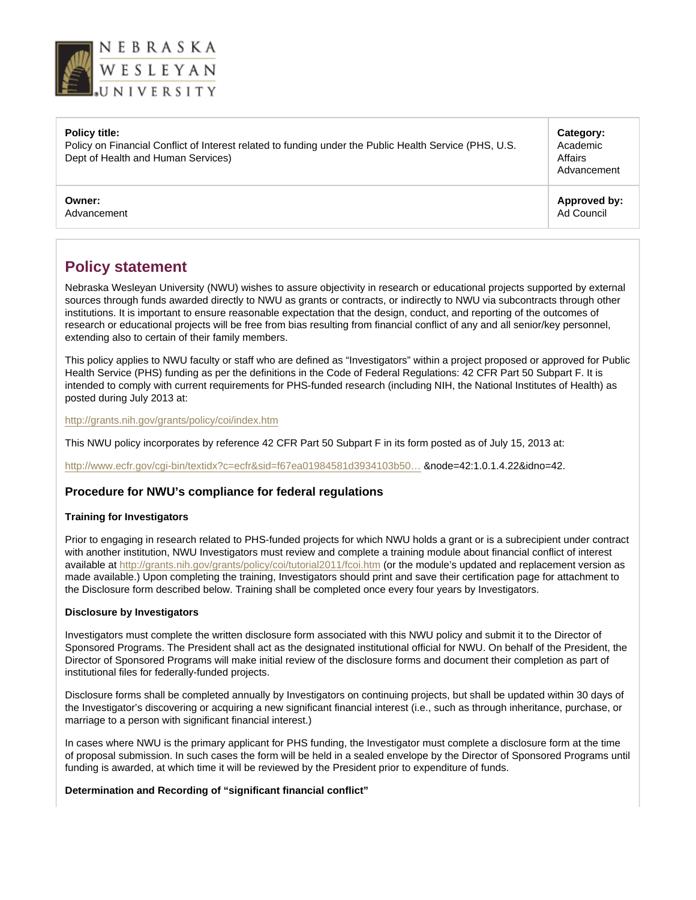| Policy title:<br>Policy on Financial Conflict of Interest related to funding under the Public Health Service (PHS, U.S.<br>Dept of Health and Human Services) | Category:<br>Academic<br>Affairs<br>Advancement |
|---------------------------------------------------------------------------------------------------------------------------------------------------------------|-------------------------------------------------|
| Owner:                                                                                                                                                        | Approved by:                                    |
| Advancement                                                                                                                                                   | Ad Council                                      |

# Policy statement

Nebraska Wesleyan University (NWU) wishes to assure objectivity in research or educational projects supported by external sources through funds awarded directly to NWU as grants or contracts, or indirectly to NWU via subcontracts through other institutions. It is important to ensure reasonable expectation that the design, conduct, and reporting of the outcomes of research or educational projects will be free from bias resulting from financial conflict of any and all senior/key personnel, extending also to certain of their family members.

This policy applies to NWU faculty or staff who are defined as "Investigators" within a project proposed or approved for Public Health Service (PHS) funding as per the definitions in the Code of Federal Regulations: 42 CFR Part 50 Subpart F. It is intended to comply with current requirements for PHS-funded research (including NIH, the National Institutes of Health) as posted during July 2013 at:

#### <http://grants.nih.gov/grants/policy/coi/index.htm>

This NWU policy incorporates by reference 42 CFR Part 50 Subpart F in its form posted as of July 15, 2013 at:

[http://www.ecfr.gov/cgi-bin/textidx?c=ecfr&sid=f67ea01984581d3934103b50…](http://www.ecfr.gov/cgi-bin/textidx?c=ecfr&sid=f67ea01984581d3934103b5074c05500&rgn=div5&view=text) &node=42:1.0.1.4.22&idno=42.

#### Procedure for NWU's compliance for federal regulations

#### Training for Investigators

Prior to engaging in research related to PHS-funded projects for which NWU holds a grant or is a subrecipient under contract with another institution, NWU Investigators must review and complete a training module about financial conflict of interest available at<http://grants.nih.gov/grants/policy/coi/tutorial2011/fcoi.htm>(or the module's updated and replacement version as made available.) Upon completing the training, Investigators should print and save their certification page for attachment to the Disclosure form described below. Training shall be completed once every four years by Investigators.

#### Disclosure by Investigators

Investigators must complete the written disclosure form associated with this NWU policy and submit it to the Director of Sponsored Programs. The President shall act as the designated institutional official for NWU. On behalf of the President, the Director of Sponsored Programs will make initial review of the disclosure forms and document their completion as part of institutional files for federally-funded projects.

Disclosure forms shall be completed annually by Investigators on continuing projects, but shall be updated within 30 days of the Investigator's discovering or acquiring a new significant financial interest (i.e., such as through inheritance, purchase, or marriage to a person with significant financial interest.)

In cases where NWU is the primary applicant for PHS funding, the Investigator must complete a disclosure form at the time of proposal submission. In such cases the form will be held in a sealed envelope by the Director of Sponsored Programs until funding is awarded, at which time it will be reviewed by the President prior to expenditure of funds.

Determination and Recording of "significant financial conflict"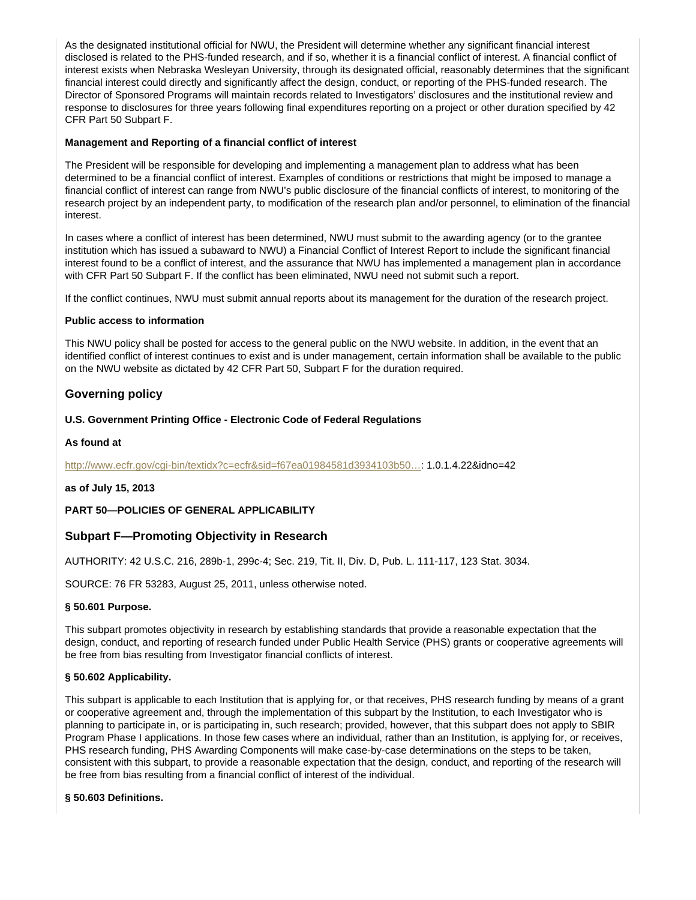As the designated institutional official for NWU, the President will determine whether any significant financial interest disclosed is related to the PHS-funded research, and if so, whether it is a financial conflict of interest. A financial conflict of interest exists when Nebraska Wesleyan University, through its designated official, reasonably determines that the significant financial interest could directly and significantly affect the design, conduct, or reporting of the PHS-funded research. The Director of Sponsored Programs will maintain records related to Investigators' disclosures and the institutional review and response to disclosures for three years following final expenditures reporting on a project or other duration specified by 42 CFR Part 50 Subpart F.

Management and Reporting of a financial conflict of interest

The President will be responsible for developing and implementing a management plan to address what has been determined to be a financial conflict of interest. Examples of conditions or restrictions that might be imposed to manage a financial conflict of interest can range from NWU's public disclosure of the financial conflicts of interest, to monitoring of the research project by an independent party, to modification of the research plan and/or personnel, to elimination of the financial interest.

In cases where a conflict of interest has been determined, NWU must submit to the awarding agency (or to the grantee institution which has issued a subaward to NWU) a Financial Conflict of Interest Report to include the significant financial interest found to be a conflict of interest, and the assurance that NWU has implemented a management plan in accordance with CFR Part 50 Subpart F. If the conflict has been eliminated, NWU need not submit such a report.

If the conflict continues, NWU must submit annual reports about its management for the duration of the research project.

## Public access to information

This NWU policy shall be posted for access to the general public on the NWU website. In addition, in the event that an identified conflict of interest continues to exist and is under management, certain information shall be available to the public on the NWU website as dictated by 42 CFR Part 50, Subpart F for the duration required.

# Governing policy

U.S. Government Printing Office - Electronic Code of Federal Regulations

## As found at

[http://www.ecfr.gov/cgi-bin/textidx?c=ecfr&sid=f67ea01984581d3934103b50…](http://www.ecfr.gov/cgi-bin/textidx?c=ecfr&sid=f67ea01984581d3934103b5074c05500&rgn=div5&view=text&node=42): 1.0.1.4.22&idno=42

as of July 15, 2013

PART 50—POLICIES OF GENERAL APPLICABILITY

Subpart F—Promoting Objectivity in Research

AUTHORITY: 42 U.S.C. 216, 289b-1, 299c-4; Sec. 219, Tit. II, Div. D, Pub. L. 111-117, 123 Stat. 3034.

SOURCE: 76 FR 53283, August 25, 2011, unless otherwise noted.

§ 50.601 Purpose.

This subpart promotes objectivity in research by establishing standards that provide a reasonable expectation that the design, conduct, and reporting of research funded under Public Health Service (PHS) grants or cooperative agreements will be free from bias resulting from Investigator financial conflicts of interest.

§ 50.602 Applicability.

This subpart is applicable to each Institution that is applying for, or that receives, PHS research funding by means of a grant or cooperative agreement and, through the implementation of this subpart by the Institution, to each Investigator who is planning to participate in, or is participating in, such research; provided, however, that this subpart does not apply to SBIR Program Phase I applications. In those few cases where an individual, rather than an Institution, is applying for, or receives, PHS research funding, PHS Awarding Components will make case-by-case determinations on the steps to be taken, consistent with this subpart, to provide a reasonable expectation that the design, conduct, and reporting of the research will be free from bias resulting from a financial conflict of interest of the individual.

§ 50.603 Definitions.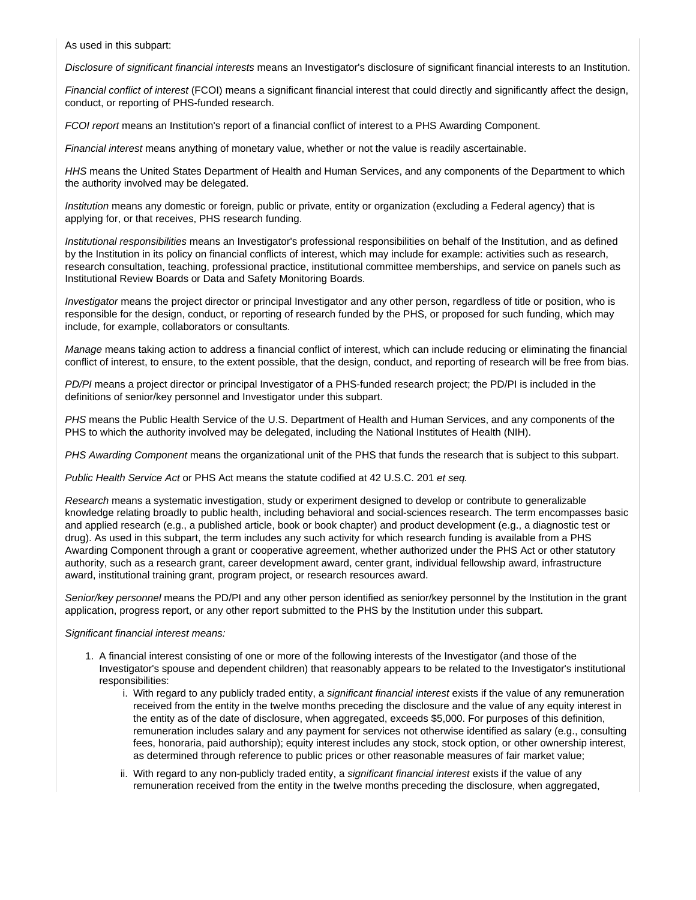As used in this subpart:

Disclosure of significant financial interests means an Investigator's disclosure of significant financial interests to an Institution.

Financial conflict of interest (FCOI) means a significant financial interest that could directly and significantly affect the design, conduct, or reporting of PHS-funded research.

FCOI report means an Institution's report of a financial conflict of interest to a PHS Awarding Component.

Financial interest means anything of monetary value, whether or not the value is readily ascertainable.

HHS means the United States Department of Health and Human Services, and any components of the Department to which the authority involved may be delegated.

Institution means any domestic or foreign, public or private, entity or organization (excluding a Federal agency) that is applying for, or that receives, PHS research funding.

Institutional responsibilities means an Investigator's professional responsibilities on behalf of the Institution, and as defined by the Institution in its policy on financial conflicts of interest, which may include for example: activities such as research, research consultation, teaching, professional practice, institutional committee memberships, and service on panels such as Institutional Review Boards or Data and Safety Monitoring Boards.

Investigator means the project director or principal Investigator and any other person, regardless of title or position, who is responsible for the design, conduct, or reporting of research funded by the PHS, or proposed for such funding, which may include, for example, collaborators or consultants.

Manage means taking action to address a financial conflict of interest, which can include reducing or eliminating the financial conflict of interest, to ensure, to the extent possible, that the design, conduct, and reporting of research will be free from bias.

PD/PI means a project director or principal Investigator of a PHS-funded research project; the PD/PI is included in the definitions of senior/key personnel and Investigator under this subpart.

PHS means the Public Health Service of the U.S. Department of Health and Human Services, and any components of the PHS to which the authority involved may be delegated, including the National Institutes of Health (NIH).

PHS Awarding Component means the organizational unit of the PHS that funds the research that is subject to this subpart.

Public Health Service Act or PHS Act means the statute codified at 42 U.S.C. 201 et seq.

Research means a systematic investigation, study or experiment designed to develop or contribute to generalizable knowledge relating broadly to public health, including behavioral and social-sciences research. The term encompasses basic and applied research (e.g., a published article, book or book chapter) and product development (e.g., a diagnostic test or drug). As used in this subpart, the term includes any such activity for which research funding is available from a PHS Awarding Component through a grant or cooperative agreement, whether authorized under the PHS Act or other statutory authority, such as a research grant, career development award, center grant, individual fellowship award, infrastructure award, institutional training grant, program project, or research resources award.

Senior/key personnel means the PD/PI and any other person identified as senior/key personnel by the Institution in the grant application, progress report, or any other report submitted to the PHS by the Institution under this subpart.

Significant financial interest means:

- 1. A financial interest consisting of one or more of the following interests of the Investigator (and those of the Investigator's spouse and dependent children) that reasonably appears to be related to the Investigator's institutional responsibilities:
	- i. With regard to any publicly traded entity, a significant financial interest exists if the value of any remuneration received from the entity in the twelve months preceding the disclosure and the value of any equity interest in the entity as of the date of disclosure, when aggregated, exceeds \$5,000. For purposes of this definition, remuneration includes salary and any payment for services not otherwise identified as salary (e.g., consulting fees, honoraria, paid authorship); equity interest includes any stock, stock option, or other ownership interest, as determined through reference to public prices or other reasonable measures of fair market value;
	- ii. With regard to any non-publicly traded entity, a significant financial interest exists if the value of any remuneration received from the entity in the twelve months preceding the disclosure, when aggregated,